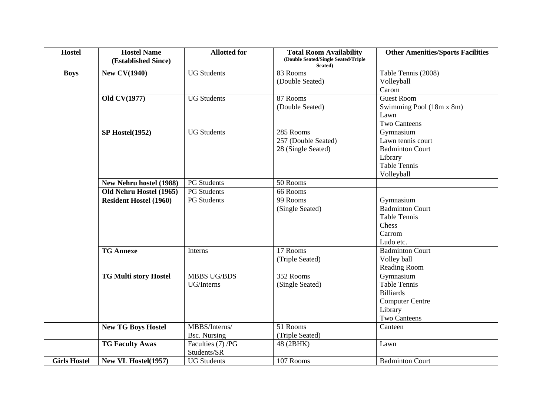| <b>Hostel</b>       | <b>Hostel Name</b><br>(Established Since) | <b>Allotted for</b> | <b>Total Room Availability</b><br>(Double Seated/Single Seated/Triple<br>Seated) | <b>Other Amenities/Sports Facilities</b> |
|---------------------|-------------------------------------------|---------------------|----------------------------------------------------------------------------------|------------------------------------------|
| <b>Boys</b>         | <b>New CV(1940)</b>                       | <b>UG Students</b>  | 83 Rooms                                                                         | Table Tennis (2008)                      |
|                     |                                           |                     | (Double Seated)                                                                  | Volleyball                               |
|                     |                                           |                     |                                                                                  | Carom                                    |
|                     | Old CV(1977)                              | <b>UG Students</b>  | 87 Rooms                                                                         | <b>Guest Room</b>                        |
|                     |                                           |                     | (Double Seated)                                                                  | Swimming Pool (18m x 8m)                 |
|                     |                                           |                     |                                                                                  | Lawn                                     |
|                     |                                           |                     |                                                                                  | <b>Two Canteens</b>                      |
|                     | SP Hostel(1952)                           | <b>UG Students</b>  | 285 Rooms                                                                        | Gymnasium                                |
|                     |                                           |                     | 257 (Double Seated)                                                              | Lawn tennis court                        |
|                     |                                           |                     | 28 (Single Seated)                                                               | <b>Badminton Court</b>                   |
|                     |                                           |                     |                                                                                  | Library                                  |
|                     |                                           |                     |                                                                                  | <b>Table Tennis</b>                      |
|                     |                                           |                     |                                                                                  | Volleyball                               |
|                     | <b>New Nehru hostel (1988)</b>            | <b>PG</b> Students  | 50 Rooms                                                                         |                                          |
|                     | Old Nehru Hostel (1965)                   | <b>PG</b> Students  | 66 Rooms                                                                         |                                          |
|                     | <b>Resident Hostel (1960)</b>             | <b>PG</b> Students  | 99 Rooms                                                                         | Gymnasium                                |
|                     |                                           |                     | (Single Seated)                                                                  | <b>Badminton Court</b>                   |
|                     |                                           |                     |                                                                                  | <b>Table Tennis</b>                      |
|                     |                                           |                     |                                                                                  | Chess                                    |
|                     |                                           |                     |                                                                                  | Carrom                                   |
|                     |                                           |                     |                                                                                  | Ludo etc.                                |
|                     | <b>TG Annexe</b>                          | Interns             | 17 Rooms                                                                         | <b>Badminton Court</b>                   |
|                     |                                           |                     | (Triple Seated)                                                                  | Volley ball                              |
|                     |                                           |                     |                                                                                  | <b>Reading Room</b>                      |
|                     | <b>TG Multi story Hostel</b>              | <b>MBBS UG/BDS</b>  | 352 Rooms                                                                        | Gymnasium                                |
|                     |                                           | UG/Interns          | (Single Seated)                                                                  | <b>Table Tennis</b>                      |
|                     |                                           |                     |                                                                                  | <b>Billiards</b>                         |
|                     |                                           |                     |                                                                                  | <b>Computer Centre</b>                   |
|                     |                                           |                     |                                                                                  | Library                                  |
|                     |                                           |                     |                                                                                  | <b>Two Canteens</b>                      |
|                     | <b>New TG Boys Hostel</b>                 | MBBS/Interns/       | $\overline{51}$ Rooms                                                            | Canteen                                  |
|                     |                                           | <b>Bsc.</b> Nursing | (Triple Seated)                                                                  |                                          |
|                     | <b>TG Faculty Awas</b>                    | Faculties (7) /PG   | 48 (2BHK)                                                                        | Lawn                                     |
|                     |                                           | Students/SR         |                                                                                  |                                          |
| <b>Girls Hostel</b> | New VL Hostel(1957)                       | <b>UG Students</b>  | 107 Rooms                                                                        | <b>Badminton Court</b>                   |